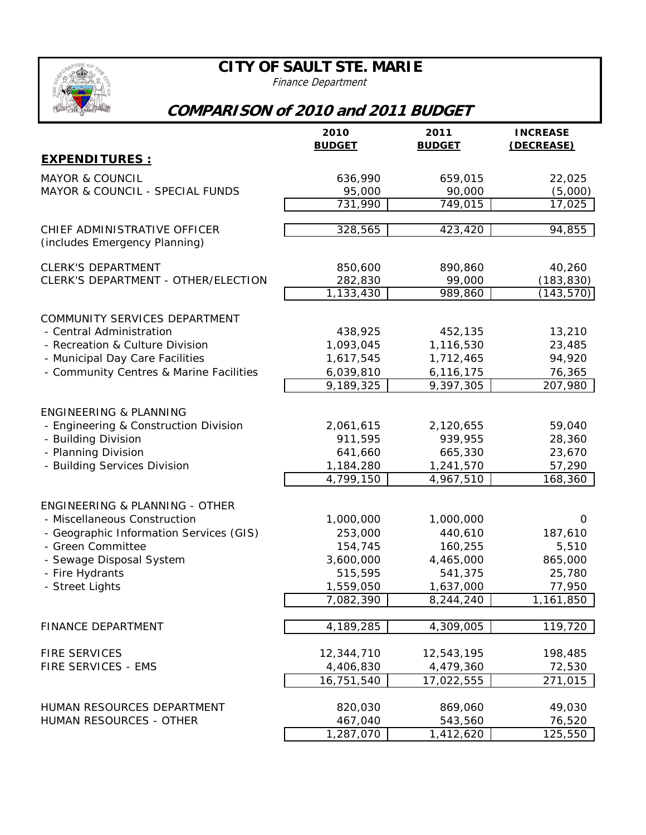## **CITY OF SAULT STE. MARIE**

Finance Department

## **COMPARISON of 2010 and 2011 BUDGET**

|                                                               | 2010<br><b>BUDGET</b> | 2011<br><b>BUDGET</b> | <b>INCREASE</b><br>(DECREASE) |
|---------------------------------------------------------------|-----------------------|-----------------------|-------------------------------|
| <b>EXPENDITURES :</b>                                         |                       |                       |                               |
| <b>MAYOR &amp; COUNCIL</b>                                    | 636,990               | 659,015               | 22,025                        |
| MAYOR & COUNCIL - SPECIAL FUNDS                               | 95,000                | 90,000                | (5,000)                       |
|                                                               | 731,990               | 749,015               | 17,025                        |
| CHIEF ADMINISTRATIVE OFFICER<br>(includes Emergency Planning) | 328,565               | 423,420               | 94,855                        |
| <b>CLERK'S DEPARTMENT</b>                                     | 850,600               | 890,860               | 40,260                        |
| CLERK'S DEPARTMENT - OTHER/ELECTION                           | 282,830               | 99,000                | (183, 830)                    |
|                                                               | 1,133,430             | 989,860               | (143, 570)                    |
| COMMUNITY SERVICES DEPARTMENT                                 |                       |                       |                               |
| - Central Administration                                      | 438,925               | 452,135               | 13,210                        |
| - Recreation & Culture Division                               | 1,093,045             | 1,116,530             | 23,485                        |
| - Municipal Day Care Facilities                               | 1,617,545             | 1,712,465             | 94,920                        |
| - Community Centres & Marine Facilities                       | 6,039,810             | 6,116,175             | 76,365                        |
|                                                               | 9,189,325             | 9,397,305             | 207,980                       |
| <b>ENGINEERING &amp; PLANNING</b>                             |                       |                       |                               |
| - Engineering & Construction Division                         | 2,061,615             | 2,120,655             | 59,040                        |
| - Building Division                                           | 911,595               | 939,955               | 28,360                        |
| - Planning Division                                           | 641,660               | 665,330               | 23,670                        |
| - Building Services Division                                  | 1,184,280             | 1,241,570             | 57,290                        |
|                                                               | 4,799,150             | 4,967,510             | 168,360                       |
| ENGINEERING & PLANNING - OTHER                                |                       |                       |                               |
| - Miscellaneous Construction                                  | 1,000,000             | 1,000,000             | 0                             |
| - Geographic Information Services (GIS)                       | 253,000               | 440,610               | 187,610                       |
| - Green Committee                                             | 154,745               | 160,255               | 5,510                         |
| - Sewage Disposal System                                      | 3,600,000             | 4,465,000             | 865,000                       |
| - Fire Hydrants                                               | 515,595               | 541,375               | 25,780                        |
| - Street Lights                                               | 1,559,050             | 1,637,000             | 77,950                        |
|                                                               | 7,082,390             | 8,244,240             | 1,161,850                     |
| <b>FINANCE DEPARTMENT</b>                                     | 4,189,285             | 4,309,005             | 119,720                       |
|                                                               |                       |                       |                               |
| <b>FIRE SERVICES</b>                                          | 12,344,710            | 12,543,195            | 198,485                       |
| FIRE SERVICES - EMS                                           | 4,406,830             | 4,479,360             | 72,530                        |
|                                                               | 16,751,540            | 17,022,555            | 271,015                       |
| HUMAN RESOURCES DEPARTMENT                                    | 820,030               | 869,060               | 49,030                        |
| HUMAN RESOURCES - OTHER                                       | 467,040               | 543,560               | 76,520                        |
|                                                               | 1,287,070             | 1,412,620             | 125,550                       |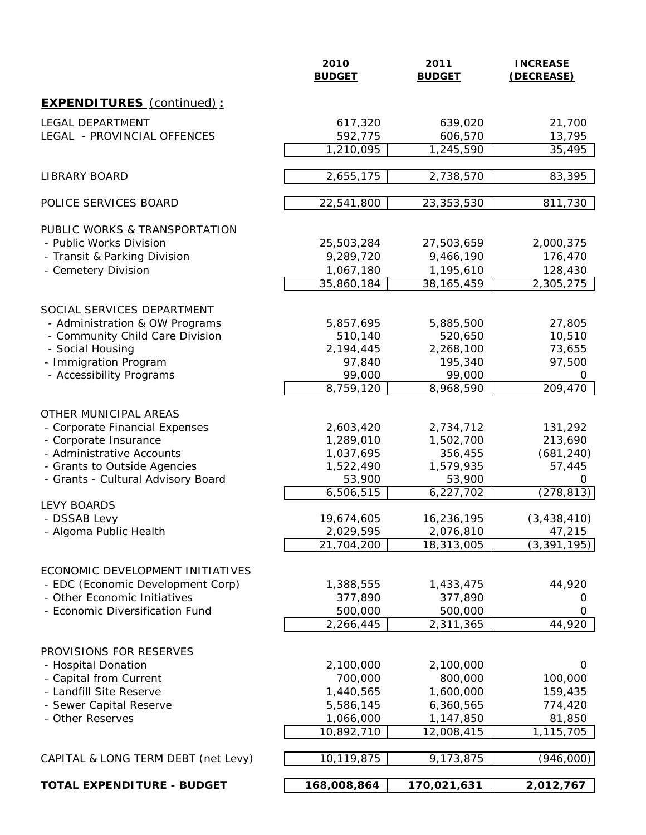|                                                                       | 2010<br><b>BUDGET</b> | 2011<br><b>BUDGET</b> | <b>INCREASE</b><br>(DECREASE) |
|-----------------------------------------------------------------------|-----------------------|-----------------------|-------------------------------|
| <b>EXPENDITURES</b> (continued) :                                     |                       |                       |                               |
| <b>LEGAL DEPARTMENT</b>                                               | 617,320               | 639,020               | 21,700                        |
| LEGAL - PROVINCIAL OFFENCES                                           | 592,775               | 606,570               | 13,795                        |
|                                                                       | 1,210,095             | 1,245,590             | 35,495                        |
| <b>LIBRARY BOARD</b>                                                  | 2,655,175             | 2,738,570             | 83,395                        |
| POLICE SERVICES BOARD                                                 | 22,541,800            | 23,353,530            | 811,730                       |
| PUBLIC WORKS & TRANSPORTATION                                         |                       |                       |                               |
| - Public Works Division                                               | 25,503,284            | 27,503,659            | 2,000,375                     |
| - Transit & Parking Division                                          | 9,289,720             | 9,466,190             | 176,470                       |
| - Cemetery Division                                                   | 1,067,180             | 1,195,610             | 128,430                       |
|                                                                       | 35,860,184            | 38, 165, 459          | 2,305,275                     |
| SOCIAL SERVICES DEPARTMENT                                            |                       |                       |                               |
| - Administration & OW Programs                                        | 5,857,695             | 5,885,500             | 27,805                        |
| - Community Child Care Division                                       | 510,140               | 520,650               | 10,510                        |
| - Social Housing                                                      | 2,194,445             | 2,268,100             | 73,655                        |
| - Immigration Program                                                 | 97,840                | 195,340               | 97,500                        |
| - Accessibility Programs                                              | 99,000                | 99,000                | 0                             |
|                                                                       | 8,759,120             | 8,968,590             | 209,470                       |
| OTHER MUNICIPAL AREAS                                                 |                       |                       |                               |
| - Corporate Financial Expenses                                        | 2,603,420             | 2,734,712             | 131,292                       |
| - Corporate Insurance                                                 | 1,289,010             | 1,502,700             | 213,690                       |
| - Administrative Accounts                                             | 1,037,695             | 356,455               | (681, 240)                    |
| - Grants to Outside Agencies                                          | 1,522,490             | 1,579,935             | 57,445                        |
| - Grants - Cultural Advisory Board                                    | 53,900                | 53,900                | 0                             |
|                                                                       | 6,506,515             | 6,227,702             | (278, 813)                    |
| <b>LEVY BOARDS</b><br>- DSSAB Levy                                    | 19,674,605            | 16,236,195            | (3, 438, 410)                 |
| - Algoma Public Health                                                | 2,029,595             | 2,076,810             | 47,215                        |
|                                                                       | 21,704,200            | 18,313,005            | (3, 391, 195)                 |
|                                                                       |                       |                       |                               |
| ECONOMIC DEVELOPMENT INITIATIVES<br>- EDC (Economic Development Corp) |                       |                       |                               |
| - Other Economic Initiatives                                          | 1,388,555<br>377,890  | 1,433,475<br>377,890  | 44,920<br>0                   |
| - Economic Diversification Fund                                       | 500,000               | 500,000               | 0                             |
|                                                                       | 2,266,445             | 2,311,365             | 44,920                        |
|                                                                       |                       |                       |                               |
| PROVISIONS FOR RESERVES                                               |                       |                       |                               |
| - Hospital Donation                                                   | 2,100,000             | 2,100,000             | 0                             |
| - Capital from Current                                                | 700,000               | 800,000               | 100,000                       |
| - Landfill Site Reserve                                               | 1,440,565             | 1,600,000             | 159,435                       |
| - Sewer Capital Reserve                                               | 5,586,145             | 6,360,565             | 774,420                       |
| - Other Reserves                                                      | 1,066,000             | 1,147,850             | 81,850                        |
|                                                                       | 10,892,710            | 12,008,415            | 1,115,705                     |
| CAPITAL & LONG TERM DEBT (net Levy)                                   | 10,119,875            | 9,173,875             | (946,000)                     |
|                                                                       |                       |                       |                               |
| <b>TOTAL EXPENDITURE - BUDGET</b>                                     | 168,008,864           | 170,021,631           | 2,012,767                     |